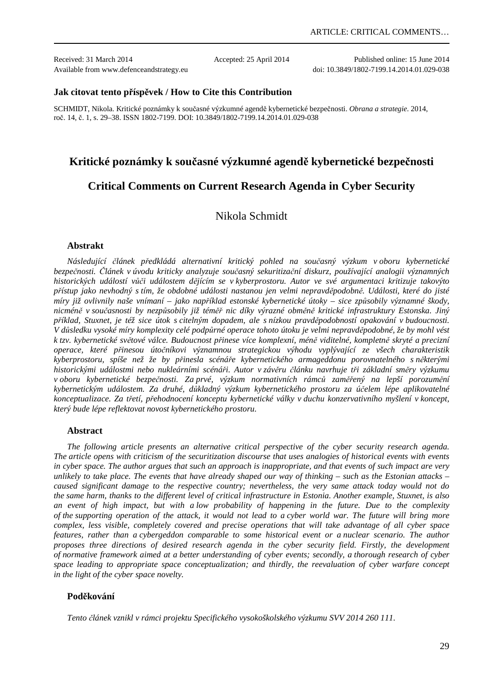Received: 31 March 2014 Accepted: 25 April 2014 Published online: 15 June 2014

Available from www.defenceandstrategy.eu doi: 10.3849/1802-7199.14.2014.01.029-038

### **Jak citovat tento příspěvek / How to Cite this Contribution**

SCHMIDT, Nikola. Kritické poznámky k současné výzkumné agendě kybernetické bezpečnosti. *Obrana a strategie*. 2014, roč. 14, č. 1, s. 29–38. ISSN 1802-7199. DOI: 10.3849/1802-7199.14.2014.01.029-038

## **Kritické poznámky k současné výzkumné agendě kybernetické bezpečnosti**

# **Critical Comments on Current Research Agenda in Cyber Security**

# Nikola Schmidt

## **Abstrakt**

*Následující článek předkládá alternativní kritický pohled na současný výzkum v oboru kybernetické bezpečnosti. Článek v úvodu kriticky analyzuje současný sekuritizační diskurz, používající analogii významných historických událostí vůči událostem dějícím se v kyberprostoru. Autor ve své argumentaci kritizuje takovýto přístup jako nevhodný s tím, že obdobné události nastanou jen velmi nepravděpodobně. Události, které do jisté míry již ovlivnily naše vnímaní – jako například estonské kybernetické útoky – sice způsobily významné škody, nicméně v současnosti by nezpůsobily již téměř nic díky výrazné obměně kritické infrastruktury Estonska. Jiný příklad, Stuxnet, je též sice útok s citelným dopadem, ale s nízkou pravděpodobností opakování v budoucnosti. V důsledku vysoké míry komplexity celé podpůrné operace tohoto útoku je velmi nepravděpodobné, že by mohl vést k tzv. kybernetické světové válce. Budoucnost přinese více komplexní, méně viditelné, kompletně skryté a precizní operace, které přinesou útočníkovi významnou strategickou výhodu vyplývající ze všech charakteristik kyberprostoru, spíše než že by přinesla scénáře kybernetického armageddonu porovnatelného s některými historickými událostmi nebo nukleárními scénáři. Autor v závěru článku navrhuje tři základní směry výzkumu v oboru kybernetické bezpečnosti. Za prvé, výzkum normativních rámců zaměřený na lepší porozumění kybernetickým událostem. Za druhé, důkladný výzkum kybernetického prostoru za účelem lépe aplikovatelné konceptualizace. Za třetí, přehodnocení konceptu kybernetické války v duchu konzervativního myšlení v koncept, který bude lépe reflektovat novost kybernetického prostoru.* 

#### **Abstract**

*The following article presents an alternative critical perspective of the cyber security research agenda. The article opens with criticism of the securitization discourse that uses analogies of historical events with events in cyber space. The author argues that such an approach is inappropriate, and that events of such impact are very unlikely to take place. The events that have already shaped our way of thinking – such as the Estonian attacks – caused significant damage to the respective country; nevertheless, the very same attack today would not do the same harm, thanks to the different level of critical infrastructure in Estonia. Another example, Stuxnet, is also an event of high impact, but with a low probability of happening in the future. Due to the complexity of the supporting operation of the attack, it would not lead to a cyber world war. The future will bring more complex, less visible, completely covered and precise operations that will take advantage of all cyber space features, rather than a cybergeddon comparable to some historical event or a nuclear scenario. The author proposes three directions of desired research agenda in the cyber security field. Firstly, the development of normative framework aimed at a better understanding of cyber events; secondly, a thorough research of cyber space leading to appropriate space conceptualization; and thirdly, the reevaluation of cyber warfare concept in the light of the cyber space novelty.* 

## **Poděkování**

*Tento článek vznikl v rámci projektu Specifického vysokoškolského výzkumu SVV 2014 260 111.*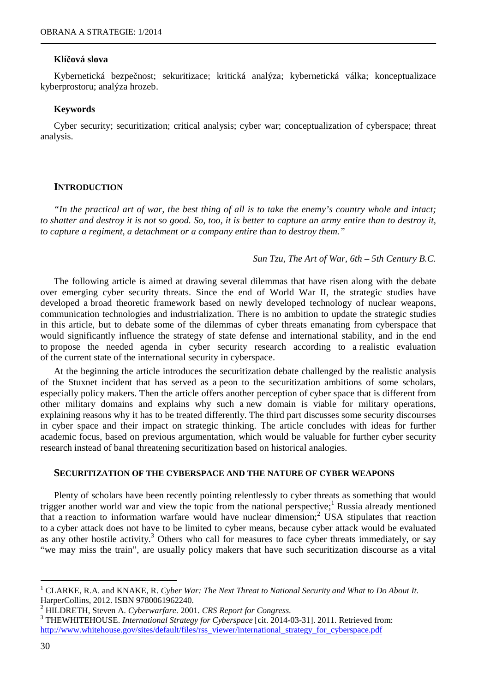## **Klíčová slova**

Kybernetická bezpečnost; sekuritizace; kritická analýza; kybernetická válka; konceptualizace kyberprostoru; analýza hrozeb.

#### **Keywords**

Cyber security; securitization; critical analysis; cyber war; conceptualization of cyberspace; threat analysis.

## **INTRODUCTION**

*"In the practical art of war, the best thing of all is to take the enemy's country whole and intact; to shatter and destroy it is not so good. So, too, it is better to capture an army entire than to destroy it, to capture a regiment, a detachment or a company entire than to destroy them."* 

#### *Sun Tzu, The Art of War, 6th – 5th Century B.C.*

The following article is aimed at drawing several dilemmas that have risen along with the debate over emerging cyber security threats. Since the end of World War II, the strategic studies have developed a broad theoretic framework based on newly developed technology of nuclear weapons, communication technologies and industrialization. There is no ambition to update the strategic studies in this article, but to debate some of the dilemmas of cyber threats emanating from cyberspace that would significantly influence the strategy of state defense and international stability, and in the end to propose the needed agenda in cyber security research according to a realistic evaluation of the current state of the international security in cyberspace.

At the beginning the article introduces the securitization debate challenged by the realistic analysis of the Stuxnet incident that has served as a peon to the securitization ambitions of some scholars, especially policy makers. Then the article offers another perception of cyber space that is different from other military domains and explains why such a new domain is viable for military operations, explaining reasons why it has to be treated differently. The third part discusses some security discourses in cyber space and their impact on strategic thinking. The article concludes with ideas for further academic focus, based on previous argumentation, which would be valuable for further cyber security research instead of banal threatening securitization based on historical analogies.

## **SECURITIZATION OF THE CYBERSPACE AND THE NATURE OF CYBER WEAPONS**

Plenty of scholars have been recently pointing relentlessly to cyber threats as something that would trigger another world war and view the topic from the national perspective;<sup>1</sup> Russia already mentioned that a reaction to information warfare would have nuclear dimension;<sup>2</sup> USA stipulates that reaction to a cyber attack does not have to be limited to cyber means, because cyber attack would be evaluated as any other hostile activity.<sup>3</sup> Others who call for measures to face cyber threats immediately, or say "we may miss the train", are usually policy makers that have such securitization discourse as a vital

<sup>1</sup> CLARKE, R.A. and KNAKE, R. *Cyber War: The Next Threat to National Security and What to Do About It*. HarperCollins, 2012. ISBN 9780061962240.

<sup>2</sup> HILDRETH, Steven A. *Cyberwarfare*. 2001. *CRS Report for Congress*.

<sup>3</sup> THEWHITEHOUSE. *International Strategy for Cyberspace* [cit. 2014-03-31]. 2011. Retrieved from: http://www.whitehouse.gov/sites/default/files/rss\_viewer/international\_strategy\_for\_cyberspace.pdf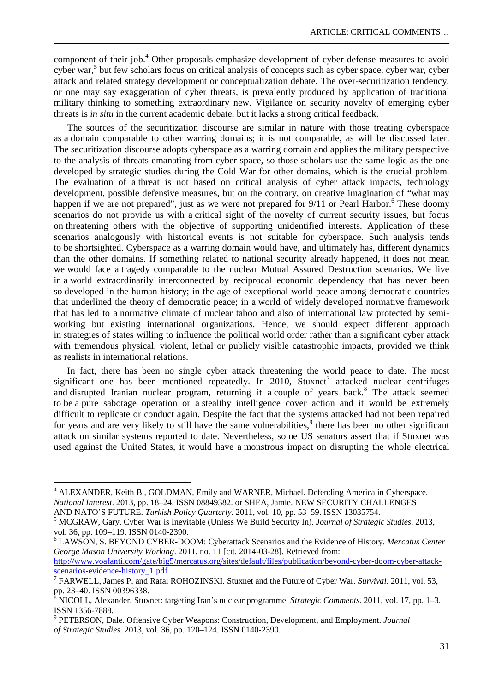component of their job.<sup>4</sup> Other proposals emphasize development of cyber defense measures to avoid cyber war,<sup>5</sup> but few scholars focus on critical analysis of concepts such as cyber space, cyber war, cyber attack and related strategy development or conceptualization debate. The over-securitization tendency, or one may say exaggeration of cyber threats, is prevalently produced by application of traditional military thinking to something extraordinary new. Vigilance on security novelty of emerging cyber threats is *in situ* in the current academic debate, but it lacks a strong critical feedback.

The sources of the securitization discourse are similar in nature with those treating cyberspace as a domain comparable to other warring domains; it is not comparable, as will be discussed later. The securitization discourse adopts cyberspace as a warring domain and applies the military perspective to the analysis of threats emanating from cyber space, so those scholars use the same logic as the one developed by strategic studies during the Cold War for other domains, which is the crucial problem. The evaluation of a threat is not based on critical analysis of cyber attack impacts, technology development, possible defensive measures, but on the contrary, on creative imagination of "what may happen if we are not prepared", just as we were not prepared for 9/11 or Pearl Harbor.<sup>6</sup> These doomy scenarios do not provide us with a critical sight of the novelty of current security issues, but focus on threatening others with the objective of supporting unidentified interests. Application of these scenarios analogously with historical events is not suitable for cyberspace. Such analysis tends to be shortsighted. Cyberspace as a warring domain would have, and ultimately has, different dynamics than the other domains. If something related to national security already happened, it does not mean we would face a tragedy comparable to the nuclear Mutual Assured Destruction scenarios. We live in a world extraordinarily interconnected by reciprocal economic dependency that has never been so developed in the human history; in the age of exceptional world peace among democratic countries that underlined the theory of democratic peace; in a world of widely developed normative framework that has led to a normative climate of nuclear taboo and also of international law protected by semiworking but existing international organizations. Hence, we should expect different approach in strategies of states willing to influence the political world order rather than a significant cyber attack with tremendous physical, violent, lethal or publicly visible catastrophic impacts, provided we think as realists in international relations.

In fact, there has been no single cyber attack threatening the world peace to date. The most significant one has been mentioned repeatedly. In 2010,  $Stuxnet<sup>7</sup>$  attacked nuclear centrifuges and disrupted Iranian nuclear program, returning it a couple of years back.<sup>8</sup> The attack seemed to be a pure sabotage operation or a stealthy intelligence cover action and it would be extremely difficult to replicate or conduct again. Despite the fact that the systems attacked had not been repaired for years and are very likely to still have the same vulnerabilities,<sup>9</sup> there has been no other significant attack on similar systems reported to date. Nevertheless, some US senators assert that if Stuxnet was used against the United States, it would have a monstrous impact on disrupting the whole electrical

l

<sup>4</sup> ALEXANDER, Keith B., GOLDMAN, Emily and WARNER, Michael. Defending America in Cyberspace. *National Interest*. 2013, pp. 18–24. ISSN 08849382. or SHEA, Jamie. NEW SECURITY CHALLENGES AND NATO'S FUTURE. *Turkish Policy Quarterly*. 2011, vol. 10, pp. 53–59. ISSN 13035754.

<sup>5</sup> MCGRAW, Gary. Cyber War is Inevitable (Unless We Build Security In). *Journal of Strategic Studies*. 2013, vol. 36, pp. 109–119. ISSN 0140-2390.

<sup>6</sup> LAWSON, S. BEYOND CYBER-DOOM: Cyberattack Scenarios and the Evidence of History. *Mercatus Center George Mason University Working*. 2011, no. 11 [cit. 2014-03-28]. Retrieved from:

http://www.voafanti.com/gate/big5/mercatus.org/sites/default/files/publication/beyond-cyber-doom-cyber-attackscenarios-evidence-history\_1.pdf

<sup>7</sup> FARWELL, James P. and Rafal ROHOZINSKI. Stuxnet and the Future of Cyber War. *Survival*. 2011, vol. 53, pp. 23–40. ISSN 00396338.<br><sup>8</sup> NICOLL Alexander Stuve

NICOLL, Alexander. Stuxnet: targeting Iran's nuclear programme. *Strategic Comments*. 2011, vol. 17, pp. 1–3. ISSN 1356-7888.

<sup>9</sup> PETERSON, Dale. Offensive Cyber Weapons: Construction, Development, and Employment. *Journal of Strategic Studies*. 2013, vol. 36, pp. 120–124. ISSN 0140-2390.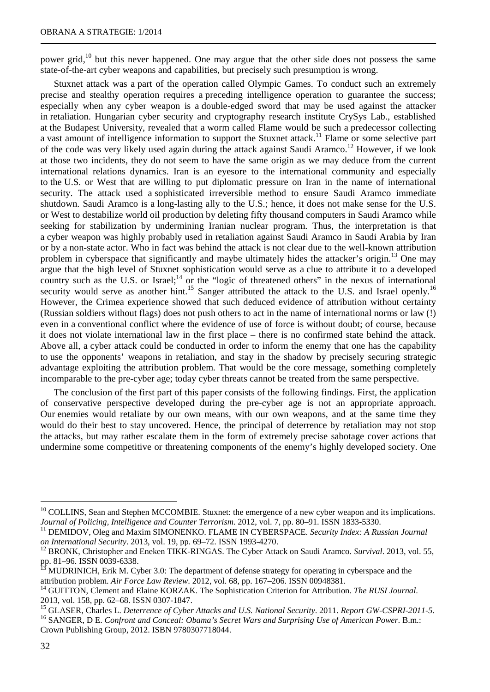power grid,<sup>10</sup> but this never happened. One may argue that the other side does not possess the same state-of-the-art cyber weapons and capabilities, but precisely such presumption is wrong.

Stuxnet attack was a part of the operation called Olympic Games. To conduct such an extremely precise and stealthy operation requires a preceding intelligence operation to guarantee the success; especially when any cyber weapon is a double-edged sword that may be used against the attacker in retaliation. Hungarian cyber security and cryptography research institute CrySys Lab., established at the Budapest University, revealed that a worm called Flame would be such a predecessor collecting a vast amount of intelligence information to support the Stuxnet attack.<sup>11</sup> Flame or some selective part of the code was very likely used again during the attack against Saudi Aramco.<sup>12</sup> However, if we look at those two incidents, they do not seem to have the same origin as we may deduce from the current international relations dynamics. Iran is an eyesore to the international community and especially to the U.S. or West that are willing to put diplomatic pressure on Iran in the name of international security. The attack used a sophisticated irreversible method to ensure Saudi Aramco immediate shutdown. Saudi Aramco is a long-lasting ally to the U.S.; hence, it does not make sense for the U.S. or West to destabilize world oil production by deleting fifty thousand computers in Saudi Aramco while seeking for stabilization by undermining Iranian nuclear program. Thus, the interpretation is that a cyber weapon was highly probably used in retaliation against Saudi Aramco in Saudi Arabia by Iran or by a non-state actor. Who in fact was behind the attack is not clear due to the well-known attribution problem in cyberspace that significantly and maybe ultimately hides the attacker's origin.<sup>13</sup> One may argue that the high level of Stuxnet sophistication would serve as a clue to attribute it to a developed country such as the U.S. or Israel;<sup>14</sup> or the "logic of threatened others" in the nexus of international security would serve as another hint.<sup>15</sup> Sanger attributed the attack to the U.S. and Israel openly.<sup>16</sup> However, the Crimea experience showed that such deduced evidence of attribution without certainty (Russian soldiers without flags) does not push others to act in the name of international norms or law (!) even in a conventional conflict where the evidence of use of force is without doubt; of course, because it does not violate international law in the first place – there is no confirmed state behind the attack. Above all, a cyber attack could be conducted in order to inform the enemy that one has the capability to use the opponents' weapons in retaliation, and stay in the shadow by precisely securing strategic advantage exploiting the attribution problem. That would be the core message, something completely incomparable to the pre-cyber age; today cyber threats cannot be treated from the same perspective.

The conclusion of the first part of this paper consists of the following findings. First, the application of conservative perspective developed during the pre-cyber age is not an appropriate approach. Our enemies would retaliate by our own means, with our own weapons, and at the same time they would do their best to stay uncovered. Hence, the principal of deterrence by retaliation may not stop the attacks, but may rather escalate them in the form of extremely precise sabotage cover actions that undermine some competitive or threatening components of the enemy's highly developed society. One

<sup>&</sup>lt;sup>10</sup> COLLINS, Sean and Stephen MCCOMBIE. Stuxnet: the emergence of a new cyber weapon and its implications. *Journal of Policing, Intelligence and Counter Terrorism*. 2012, vol. 7, pp. 80–91. ISSN 1833-5330.

<sup>11</sup> DEMIDOV, Oleg and Maxim SIMONENKO. FLAME IN CYBERSPACE. *Security Index: A Russian Journal on International Security*. 2013, vol. 19, pp. 69–72. ISSN 1993-4270.

<sup>12</sup> BRONK, Christopher and Eneken TIKK-RINGAS. The Cyber Attack on Saudi Aramco. *Survival*. 2013, vol. 55, pp. 81–96. ISSN 0039-6338.<br>13 MUNNAU

<sup>13</sup> MUDRINICH, Erik M. Cyber 3.0: The department of defense strategy for operating in cyberspace and the attribution problem. *Air Force Law Review*. 2012, vol. 68, pp. 167–206. ISSN 00948381.

<sup>14</sup> GUITTON, Clement and Elaine KORZAK. The Sophistication Criterion for Attribution. *The RUSI Journal*. 2013, vol. 158, pp. 62–68. ISSN 0307-1847.

<sup>15</sup> GLASER, Charles L. *Deterrence of Cyber Attacks and U.S. National Security*. 2011. *Report GW-CSPRI-2011-5*. <sup>16</sup> SANGER, D E. *Confront and Conceal: Obama's Secret Wars and Surprising Use of American Power*. B.m.: Crown Publishing Group, 2012. ISBN 9780307718044.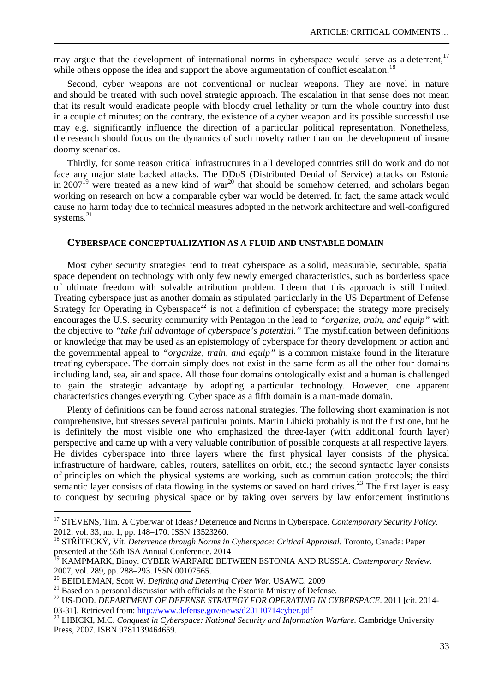may argue that the development of international norms in cyberspace would serve as a deterrent,<sup>17</sup> while others oppose the idea and support the above argumentation of conflict escalation.<sup>18</sup>

Second, cyber weapons are not conventional or nuclear weapons. They are novel in nature and should be treated with such novel strategic approach. The escalation in that sense does not mean that its result would eradicate people with bloody cruel lethality or turn the whole country into dust in a couple of minutes; on the contrary, the existence of a cyber weapon and its possible successful use may e.g. significantly influence the direction of a particular political representation. Nonetheless, the research should focus on the dynamics of such novelty rather than on the development of insane doomy scenarios.

Thirdly, for some reason critical infrastructures in all developed countries still do work and do not face any major state backed attacks. The DDoS (Distributed Denial of Service) attacks on Estonia in 2007<sup>19</sup> were treated as a new kind of war<sup>20</sup> that should be somehow deterred, and scholars began working on research on how a comparable cyber war would be deterred. In fact, the same attack would cause no harm today due to technical measures adopted in the network architecture and well-configured systems. $21$ 

### **CYBERSPACE CONCEPTUALIZATION AS A FLUID AND UNSTABLE DOMAIN**

Most cyber security strategies tend to treat cyberspace as a solid, measurable, securable, spatial space dependent on technology with only few newly emerged characteristics, such as borderless space of ultimate freedom with solvable attribution problem. I deem that this approach is still limited. Treating cyberspace just as another domain as stipulated particularly in the US Department of Defense Strategy for Operating in Cyberspace<sup>22</sup> is not a definition of cyberspace; the strategy more precisely encourages the U.S. security community with Pentagon in the lead to *"organize, train, and equip"* with the objective to *"take full advantage of cyberspace's potential."* The mystification between definitions or knowledge that may be used as an epistemology of cyberspace for theory development or action and the governmental appeal to *"organize, train, and equip"* is a common mistake found in the literature treating cyberspace. The domain simply does not exist in the same form as all the other four domains including land, sea, air and space. All those four domains ontologically exist and a human is challenged to gain the strategic advantage by adopting a particular technology. However, one apparent characteristics changes everything. Cyber space as a fifth domain is a man-made domain.

Plenty of definitions can be found across national strategies. The following short examination is not comprehensive, but stresses several particular points. Martin Libicki probably is not the first one, but he is definitely the most visible one who emphasized the three-layer (with additional fourth layer) perspective and came up with a very valuable contribution of possible conquests at all respective layers. He divides cyberspace into three layers where the first physical layer consists of the physical infrastructure of hardware, cables, routers, satellites on orbit, etc.; the second syntactic layer consists of principles on which the physical systems are working, such as communication protocols; the third semantic layer consists of data flowing in the systems or saved on hard drives.<sup>23</sup> The first layer is easy to conquest by securing physical space or by taking over servers by law enforcement institutions

<sup>17</sup> STEVENS, Tim. A Cyberwar of Ideas? Deterrence and Norms in Cyberspace. *Contemporary Security Policy*. 2012, vol. 33, no. 1, pp. 148–170. ISSN 13523260.

<sup>18</sup> STŘÍTECKÝ, Vít. *Deterrence through Norms in Cyberspace: Critical Appraisal*. Toronto, Canada: Paper presented at the 55th ISA Annual Conference. 2014<br><sup>19</sup> KAMPMAPLE

<sup>19</sup> KAMPMARK, Binoy. CYBER WARFARE BETWEEN ESTONIA AND RUSSIA. *Contemporary Review*. 2007, vol. 289, pp. 288–293. ISSN 00107565.

<sup>20</sup> BEIDLEMAN, Scott W. *Defining and Deterring Cyber War*. USAWC. 2009

<sup>&</sup>lt;sup>21</sup> Based on a personal discussion with officials at the Estonia Ministry of Defense.

<sup>22</sup> US-DOD. *DEPARTMENT OF DEFENSE STRATEGY FOR OPERATING IN CYBERSPACE*. 2011 [cit. 2014- 03-31]. Retrieved from: http://www.defense.gov/news/d20110714cyber.pdf

<sup>23</sup> LIBICKI, M.C. *Conquest in Cyberspace: National Security and Information Warfare*. Cambridge University Press, 2007. ISBN 9781139464659.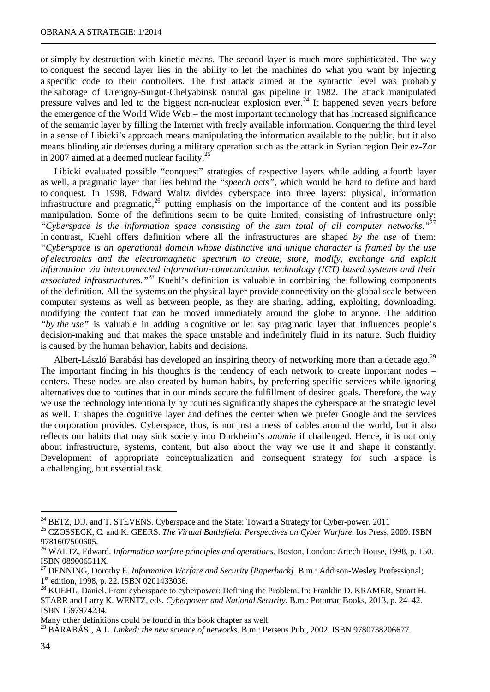or simply by destruction with kinetic means. The second layer is much more sophisticated. The way to conquest the second layer lies in the ability to let the machines do what you want by injecting a specific code to their controllers. The first attack aimed at the syntactic level was probably the sabotage of Urengoy-Surgut-Chelyabinsk natural gas pipeline in 1982. The attack manipulated pressure valves and led to the biggest non-nuclear explosion ever.<sup>24</sup> It happened seven years before the emergence of the World Wide Web – the most important technology that has increased significance of the semantic layer by filling the Internet with freely available information. Conquering the third level in a sense of Libicki's approach means manipulating the information available to the public, but it also means blinding air defenses during a military operation such as the attack in Syrian region Deir ez-Zor in 2007 aimed at a deemed nuclear facility. $^{25}$ 

Libicki evaluated possible "conquest" strategies of respective layers while adding a fourth layer as well, a pragmatic layer that lies behind the *"speech acts"*, which would be hard to define and hard to conquest. In 1998, Edward Waltz divides cyberspace into three layers: physical, information infrastructure and pragmatic,<sup>26</sup> putting emphasis on the importance of the content and its possible manipulation. Some of the definitions seem to be quite limited, consisting of infrastructure only: *"Cyberspace is the information space consisting of the sum total of all computer networks."*<sup>27</sup> In contrast, Kuehl offers definition where all the infrastructures are shaped *by the use* of them: *"Cyberspace is an operational domain whose distinctive and unique character is framed by the use of electronics and the electromagnetic spectrum to create, store, modify, exchange and exploit information via interconnected information-communication technology (ICT) based systems and their associated infrastructures."*<sup>28</sup> Kuehl's definition is valuable in combining the following components of the definition. All the systems on the physical layer provide connectivity on the global scale between computer systems as well as between people, as they are sharing, adding, exploiting, downloading, modifying the content that can be moved immediately around the globe to anyone. The addition *"by the use"* is valuable in adding a cognitive or let say pragmatic layer that influences people's decision-making and that makes the space unstable and indefinitely fluid in its nature. Such fluidity is caused by the human behavior, habits and decisions.

Albert-László Barabási has developed an inspiring theory of networking more than a decade ago.<sup>29</sup> The important finding in his thoughts is the tendency of each network to create important nodes – centers. These nodes are also created by human habits, by preferring specific services while ignoring alternatives due to routines that in our minds secure the fulfillment of desired goals. Therefore, the way we use the technology intentionally by routines significantly shapes the cyberspace at the strategic level as well. It shapes the cognitive layer and defines the center when we prefer Google and the services the corporation provides. Cyberspace, thus, is not just a mess of cables around the world, but it also reflects our habits that may sink society into Durkheim's *anomie* if challenged. Hence, it is not only about infrastructure, systems, content, but also about the way we use it and shape it constantly. Development of appropriate conceptualization and consequent strategy for such a space is a challenging, but essential task.

<sup>&</sup>lt;sup>24</sup> BETZ, D.J. and T. STEVENS. Cyberspace and the State: Toward a Strategy for Cyber-power. 2011

<sup>25</sup> CZOSSECK, C. and K. GEERS. *The Virtual Battlefield: Perspectives on Cyber Warfare*. Ios Press, 2009. ISBN 9781607500605.

<sup>26</sup> WALTZ, Edward. *Information warfare principles and operations*. Boston, London: Artech House, 1998, p. 150. ISBN 089006511X.

<sup>27</sup> DENNING, Dorothy E. *Information Warfare and Security [Paperback]*. B.m.: Addison-Wesley Professional; 1 st edition, 1998, p. 22. ISBN 0201433036.

<sup>&</sup>lt;sup>28</sup> KUEHL, Daniel. From cyberspace to cyberpower: Defining the Problem. In: Franklin D. KRAMER, Stuart H. STARR and Larry K. WENTZ, eds. *Cyberpower and National Security*. B.m.: Potomac Books, 2013, p. 24–42. ISBN 1597974234.

Many other definitions could be found in this book chapter as well.

<sup>29</sup> BARABÁSI, A L. *Linked: the new science of networks*. B.m.: Perseus Pub., 2002. ISBN 9780738206677.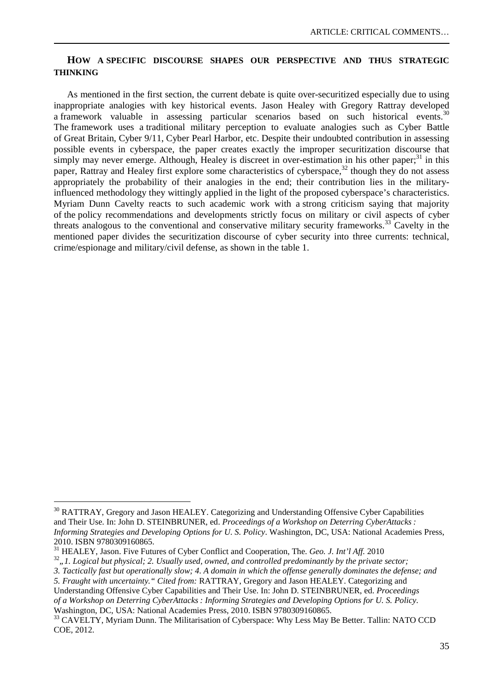## **HOW A SPECIFIC DISCOURSE SHAPES OUR PERSPECTIVE AND THUS STRATEGIC THINKING**

As mentioned in the first section, the current debate is quite over-securitized especially due to using inappropriate analogies with key historical events. Jason Healey with Gregory Rattray developed a framework valuable in assessing particular scenarios based on such historical events.<sup>30</sup> The framework uses a traditional military perception to evaluate analogies such as Cyber Battle of Great Britain, Cyber 9/11, Cyber Pearl Harbor, etc. Despite their undoubted contribution in assessing possible events in cyberspace, the paper creates exactly the improper securitization discourse that simply may never emerge. Although, Healey is discreet in over-estimation in his other paper;<sup>31</sup> in this paper, Rattray and Healey first explore some characteristics of cyberspace,<sup>32</sup> though they do not assess appropriately the probability of their analogies in the end; their contribution lies in the militaryinfluenced methodology they wittingly applied in the light of the proposed cyberspace's characteristics. Myriam Dunn Cavelty reacts to such academic work with a strong criticism saying that majority of the policy recommendations and developments strictly focus on military or civil aspects of cyber threats analogous to the conventional and conservative military security frameworks.<sup>33</sup> Cavelty in the mentioned paper divides the securitization discourse of cyber security into three currents: technical, crime/espionage and military/civil defense, as shown in the table 1.

 $30$  RATTRAY, Gregory and Jason HEALEY. Categorizing and Understanding Offensive Cyber Capabilities and Their Use. In: John D. STEINBRUNER, ed. *Proceedings of a Workshop on Deterring CyberAttacks : Informing Strategies and Developing Options for U. S. Policy*. Washington, DC, USA: National Academies Press, 2010. ISBN 9780309160865.

<sup>31</sup> HEALEY, Jason. Five Futures of Cyber Conflict and Cooperation, The. *Geo. J. Int'l Aff.* 2010

<sup>&</sup>lt;sup>32</sup>, 1. Logical but physical; 2. Usually used, owned, and controlled predominantly by the private sector;

*<sup>3.</sup> Tactically fast but operationally slow; 4. A domain in which the offense generally dominates the defense; and 5. Fraught with uncertainty." Cited from:* RATTRAY, Gregory and Jason HEALEY. Categorizing and

Understanding Offensive Cyber Capabilities and Their Use. In: John D. STEINBRUNER, ed. *Proceedings of a Workshop on Deterring CyberAttacks : Informing Strategies and Developing Options for U. S. Policy*. Washington, DC, USA: National Academies Press, 2010. ISBN 9780309160865.

<sup>&</sup>lt;sup>33</sup> CAVELTY, Myriam Dunn. The Militarisation of Cyberspace: Why Less May Be Better. Tallin: NATO CCD COE, 2012.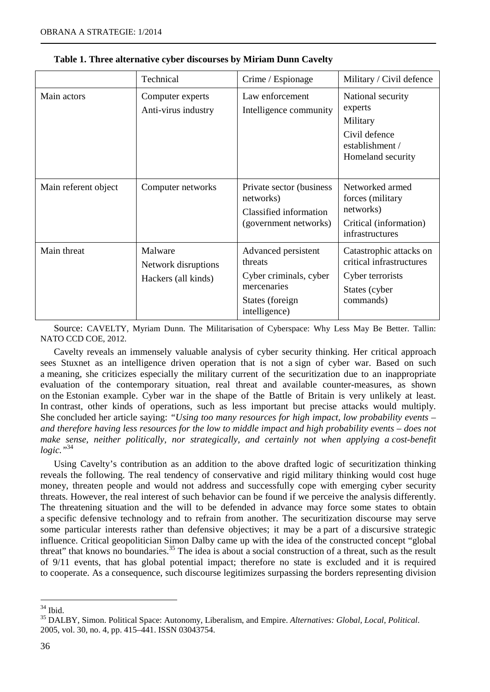|                      | Technical                                             | Crime / Espionage                                                                                           | Military / Civil defence                                                                              |
|----------------------|-------------------------------------------------------|-------------------------------------------------------------------------------------------------------------|-------------------------------------------------------------------------------------------------------|
| Main actors          | Computer experts<br>Anti-virus industry               | Law enforcement<br>Intelligence community                                                                   | National security<br>experts<br>Military<br>Civil defence<br>establishment /<br>Homeland security     |
| Main referent object | Computer networks                                     | Private sector (business)<br>networks)<br>Classified information<br>(government networks)                   | Networked armed<br>forces (military<br>networks)<br>Critical (information)<br>infrastructures         |
| Main threat          | Malware<br>Network disruptions<br>Hackers (all kinds) | Advanced persistent<br>threats<br>Cyber criminals, cyber<br>mercenaries<br>States (foreign<br>intelligence) | Catastrophic attacks on<br>critical infrastructures<br>Cyber terrorists<br>States (cyber<br>commands) |

**Table 1. Three alternative cyber discourses by Miriam Dunn Cavelty** 

Source: CAVELTY, Myriam Dunn. The Militarisation of Cyberspace: Why Less May Be Better. Tallin: NATO CCD COE, 2012.

Cavelty reveals an immensely valuable analysis of cyber security thinking. Her critical approach sees Stuxnet as an intelligence driven operation that is not a sign of cyber war. Based on such a meaning, she criticizes especially the military current of the securitization due to an inappropriate evaluation of the contemporary situation, real threat and available counter-measures, as shown on the Estonian example. Cyber war in the shape of the Battle of Britain is very unlikely at least. In contrast, other kinds of operations, such as less important but precise attacks would multiply. She concluded her article saying: *"Using too many resources for high impact, low probability events – and therefore having less resources for the low to middle impact and high probability events – does not make sense, neither politically, nor strategically, and certainly not when applying a cost-benefit logic."*<sup>34</sup>

Using Cavelty's contribution as an addition to the above drafted logic of securitization thinking reveals the following. The real tendency of conservative and rigid military thinking would cost huge money, threaten people and would not address and successfully cope with emerging cyber security threats. However, the real interest of such behavior can be found if we perceive the analysis differently. The threatening situation and the will to be defended in advance may force some states to obtain a specific defensive technology and to refrain from another. The securitization discourse may serve some particular interests rather than defensive objectives; it may be a part of a discursive strategic influence. Critical geopolitician Simon Dalby came up with the idea of the constructed concept "global threat" that knows no boundaries.<sup>35</sup> The idea is about a social construction of a threat, such as the result of 9/11 events, that has global potential impact; therefore no state is excluded and it is required to cooperate. As a consequence, such discourse legitimizes surpassing the borders representing division

 $\overline{a}$  $34$  Ibid.

<sup>35</sup> DALBY, Simon. Political Space: Autonomy, Liberalism, and Empire. *Alternatives: Global, Local, Political*. 2005, vol. 30, no. 4, pp. 415–441. ISSN 03043754.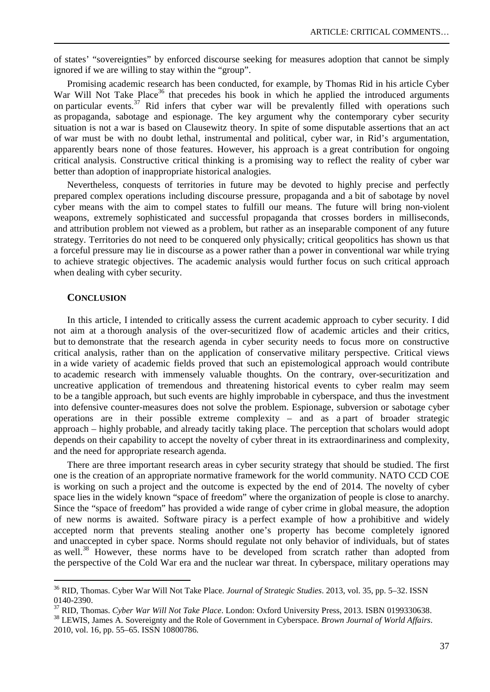of states' "sovereignties" by enforced discourse seeking for measures adoption that cannot be simply ignored if we are willing to stay within the "group".

Promising academic research has been conducted, for example, by Thomas Rid in his article Cyber War Will Not Take Place<sup>36</sup> that precedes his book in which he applied the introduced arguments on particular events.<sup>37</sup> Rid infers that cyber war will be prevalently filled with operations such as propaganda, sabotage and espionage. The key argument why the contemporary cyber security situation is not a war is based on Clausewitz theory. In spite of some disputable assertions that an act of war must be with no doubt lethal, instrumental and political, cyber war, in Rid's argumentation, apparently bears none of those features. However, his approach is a great contribution for ongoing critical analysis. Constructive critical thinking is a promising way to reflect the reality of cyber war better than adoption of inappropriate historical analogies.

Nevertheless, conquests of territories in future may be devoted to highly precise and perfectly prepared complex operations including discourse pressure, propaganda and a bit of sabotage by novel cyber means with the aim to compel states to fulfill our means. The future will bring non-violent weapons, extremely sophisticated and successful propaganda that crosses borders in milliseconds, and attribution problem not viewed as a problem, but rather as an inseparable component of any future strategy. Territories do not need to be conquered only physically; critical geopolitics has shown us that a forceful pressure may lie in discourse as a power rather than a power in conventional war while trying to achieve strategic objectives. The academic analysis would further focus on such critical approach when dealing with cyber security.

## **CONCLUSION**

 $\overline{a}$ 

In this article, I intended to critically assess the current academic approach to cyber security. I did not aim at a thorough analysis of the over-securitized flow of academic articles and their critics, but to demonstrate that the research agenda in cyber security needs to focus more on constructive critical analysis, rather than on the application of conservative military perspective. Critical views in a wide variety of academic fields proved that such an epistemological approach would contribute to academic research with immensely valuable thoughts. On the contrary, over-securitization and uncreative application of tremendous and threatening historical events to cyber realm may seem to be a tangible approach, but such events are highly improbable in cyberspace, and thus the investment into defensive counter-measures does not solve the problem. Espionage, subversion or sabotage cyber operations are in their possible extreme complexity – and as a part of broader strategic approach – highly probable, and already tacitly taking place. The perception that scholars would adopt depends on their capability to accept the novelty of cyber threat in its extraordinariness and complexity, and the need for appropriate research agenda.

There are three important research areas in cyber security strategy that should be studied. The first one is the creation of an appropriate normative framework for the world community. NATO CCD COE is working on such a project and the outcome is expected by the end of 2014. The novelty of cyber space lies in the widely known "space of freedom" where the organization of people is close to anarchy. Since the "space of freedom" has provided a wide range of cyber crime in global measure, the adoption of new norms is awaited. Software piracy is a perfect example of how a prohibitive and widely accepted norm that prevents stealing another one's property has become completely ignored and unaccepted in cyber space. Norms should regulate not only behavior of individuals, but of states as well.<sup>38</sup> However, these norms have to be developed from scratch rather than adopted from the perspective of the Cold War era and the nuclear war threat. In cyberspace, military operations may

<sup>36</sup> RID, Thomas. Cyber War Will Not Take Place. *Journal of Strategic Studies*. 2013, vol. 35, pp. 5–32. ISSN 0140-2390.

<sup>37</sup> RID, Thomas. *Cyber War Will Not Take Place*. London: Oxford University Press, 2013. ISBN 0199330638. <sup>38</sup> LEWIS, James A. Sovereignty and the Role of Government in Cyberspace. *Brown Journal of World Affairs*. 2010, vol. 16, pp. 55–65. ISSN 10800786.